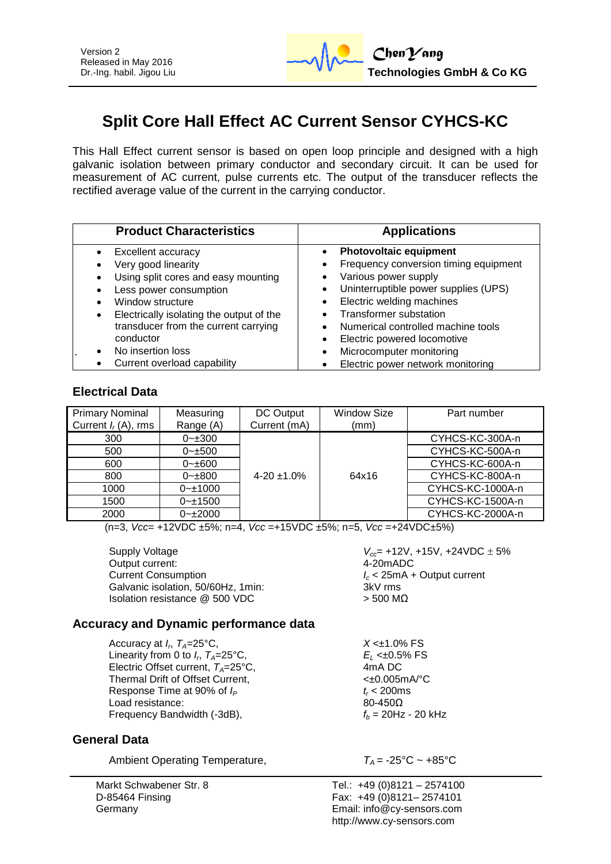# **Split Core Hall Effect AC Current Sensor CYHCS-KC**

This Hall Effect current sensor is based on open loop principle and designed with a high galvanic isolation between primary conductor and secondary circuit. It can be used for measurement of AC current, pulse currents etc. The output of the transducer reflects the rectified average value of the current in the carrying conductor.

| <b>Product Characteristics</b>                                                                                                                                                                                                  | <b>Applications</b>                                                                                                                                                                                                                 |  |  |
|---------------------------------------------------------------------------------------------------------------------------------------------------------------------------------------------------------------------------------|-------------------------------------------------------------------------------------------------------------------------------------------------------------------------------------------------------------------------------------|--|--|
| Excellent accuracy<br>Very good linearity<br>Using split cores and easy mounting<br>Less power consumption<br>Window structure<br>Electrically isolating the output of the<br>$\bullet$<br>transducer from the current carrying | <b>Photovoltaic equipment</b><br>Frequency conversion timing equipment<br>Various power supply<br>Uninterruptible power supplies (UPS)<br>Electric welding machines<br>Transformer substation<br>Numerical controlled machine tools |  |  |
| conductor                                                                                                                                                                                                                       | Electric powered locomotive                                                                                                                                                                                                         |  |  |
| No insertion loss                                                                                                                                                                                                               | Microcomputer monitoring                                                                                                                                                                                                            |  |  |
| Current overload capability                                                                                                                                                                                                     | Electric power network monitoring                                                                                                                                                                                                   |  |  |

#### **Electrical Data**

| <b>Primary Nominal</b> | Measuring     | DC Output        | <b>Window Size</b> | Part number      |
|------------------------|---------------|------------------|--------------------|------------------|
| Current $I_r(A)$ , rms | Range (A)     | Current (mA)     | (mm)               |                  |
| 300                    | $0 - 300$     |                  |                    | CYHCS-KC-300A-n  |
| 500                    | $0 - \pm 500$ |                  |                    | CYHCS-KC-500A-n  |
| 600                    | $0 - \pm 600$ |                  |                    | CYHCS-KC-600A-n  |
| 800                    | $0 - \pm 800$ | $4-20 \pm 1.0\%$ | 64x16              | CYHCS-KC-800A-n  |
| 1000                   | $0 - 1000$    |                  |                    | CYHCS-KC-1000A-n |
| 1500                   | $0 - 1500$    |                  |                    | CYHCS-KC-1500A-n |
| 2000                   | $0 - 2000$    |                  |                    | CYHCS-KC-2000A-n |

(n=3, *Vcc*= +12VDC ±5%; n=4, *Vcc* =+15VDC ±5%; n=5, *Vcc* =+24VDC±5%)

Output current: Current Consumption *I<sup>c</sup>* < 25mA + Output current Galvanic isolation, 50/60Hz, 1min: 3kV rms Isolation resistance  $@$  500 VDC  $>$  500 MΩ

Supply Voltage *V<sub>cc</sub>***= +12V, +15V, +24VDC** ± 5%<br>Output current: 4-20mADC

### **Accuracy and Dynamic performance data**

Accuracy at  $I_r$ ,  $T_A=25^{\circ}C$ , Linearity from 0 to  $I_r$ ,  $T_A = 25^\circ \text{C}$ , Electric Offset current,  $T_A = 25^{\circ}$ C, 4mA DC<br>Thermal Drift of Offset Current. <br>All the section of the section of the section of the section of the section of the section of the section of the section of the section of th Thermal Drift of Offset Current,<br>Response Time at 90% of  $I_P$  f and the set of the set of the set of the set of the set of the set of the set of the set of the set of the set of the set of the set of the set of the set of Response Time at 90% of  $I_P$   $t_r < 200$ m<br>Load resistance:  $80-450\Omega$ Load resistance: Frequency Bandwidth  $(-3dB)$ ,  $f_b = 20Hz - 20kHz$ 

### **General Data**

Ambient Operating Temperature,  $T_A = -25^{\circ}\text{C} \sim +85^{\circ}\text{C}$ 

Markt Schwabener Str. 8 D-85464 Finsing Germany

Tel.: +49 (0)8121 – 2574100 Fax: +49 (0)8121– 2574101 Email: info@cy-sensors.com http://www.cy-sensors.com

 $X < \pm 1.0\%$  FS

, *TA*=25°C, *E<sup>L</sup>* <±0.5% FS